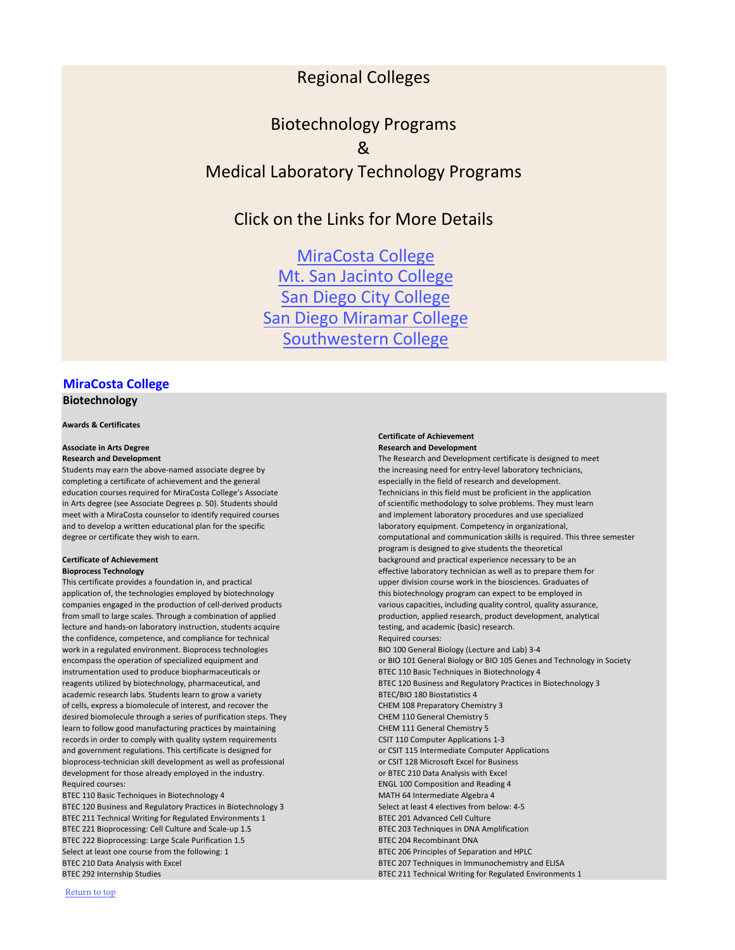# **[MiraCosta College](http://www.miracosta.edu/) Biotechnology**

### **Certificate of Achievement Associate in Arts Degree <b>Research and Development Research and Development**

**Research and Development** The Research and Development certificate is designed to meet in Arts degree (see Associate Degrees p. 50). Students should of scientific methodology to solve problems. They must learn degree or certificate they wish to earn. computational and communication skills is required. This three semester program is designed to give students the theoretical **Certificate of Achievement Certificate of Achievement** background and practical experience necessary to be an **Bioprocess Technology bioprocess Technology effective laboratory technician as well as to prepare them for** This certificate provides a foundation in, and practical upper division course work in the biosciences. Graduates of encompass the operation of specialized equipment and **or BIO 101 General Biology or BIO 105 Genes and Technology in Society** 

### **Awards & Certificates**

Students may earn the above-named associate degree by the increasing need for entry-level laboratory technicians, completing a certificate of achievement and the general especially in the field of research and development. education courses required for MiraCosta College's Associate Technicians in this field must be proficient in the application meet with a MiraCosta counselor to identify required courses and implement laboratory procedures and use specialized and to develop a written educational plan for the specific laboratory and to develop a written educational, and to develop a written educational,

application of, the technologies employed by biotechnology this biotechnology program can expect to be employed in companies engaged in the production of cell-derived products various capacities, including quality control, quality assurance, from small to large scales. Through a combination of applied production, applied research, product development, analytical lecture and hands-on laboratory instruction, students acquire the state testing, and academic (basic) research. the confidence, competence, and compliance for technical Required Courses: work in a regulated environment. Bioprocess technologies BIO 100 General Biology (Lecture and Lab) 3-4 instrumentation used to produce biopharmaceuticals or BTEC 110 Basic Techniques in Biotechnology 4 reagents utilized by biotechnology, pharmaceutical, and BTEC 120 Business and Regulatory Practices in Biotechnology 3 academic research labs. Students learn to grow a variety BTEC/BIO 180 Biostatistics 4 of cells, express a biomolecule of interest, and recover the CHEM 108 Preparatory Chemistry 3 desired biomolecule through a series of purification steps. They CHEM 110 General Chemistry 5 learn to follow good manufacturing practices by maintaining CHEM 111 General Chemistry 5 records in order to comply with quality system requirements CSIT 110 Computer Applications 1-3 and government regulations. This certificate is designed for **or CSIT 115 Intermediate Computer Applications** bioprocess-technician skill development as well as professional or CSIT 128 Microsoft Excel for Business development for those already employed in the industry. The state of the state of BTEC 210 Data Analysis with Excel Required courses: ENGL 100 Composition and Reading 4 BTEC 110 Basic Techniques in Biotechnology 4 MATH 64 Intermediate Algebra 4 BTEC 120 Business and Regulatory Practices in Biotechnology 3 Select at least 4 electives from below: 4-5 BTEC 211 Technical Writing for Regulated Environments 1 BTEC 201 Advanced Cell Culture BTEC 221 Bioprocessing: Cell Culture and Scale-up 1.5 BTEC 203 Techniques in DNA Amplification BTEC 222 Bioprocessing: Large Scale Purification 1.5 BTEC 204 Recombinant DNA Select at least one course from the following: 1 BTEC 206 Principles of Separation and HPLC BTEC 210 Data Analysis with Excel BTEC 207 Techniques in Immunochemistry and ELISA BTEC 292 Internship Studies and Environments 1 and Environments 1 and Environments 1

MiraCosta College [Mt. San Jacinto College](#page-3-0) [San Diego City College](#page-3-0) San [Diego Miramar College](#page-4-0) [Southwestern College](#page-8-0)

# Regional Colleges

# <span id="page-0-0"></span>Biotechnology Programs & Medical Laboratory Technology Programs

Click on the Links for More Details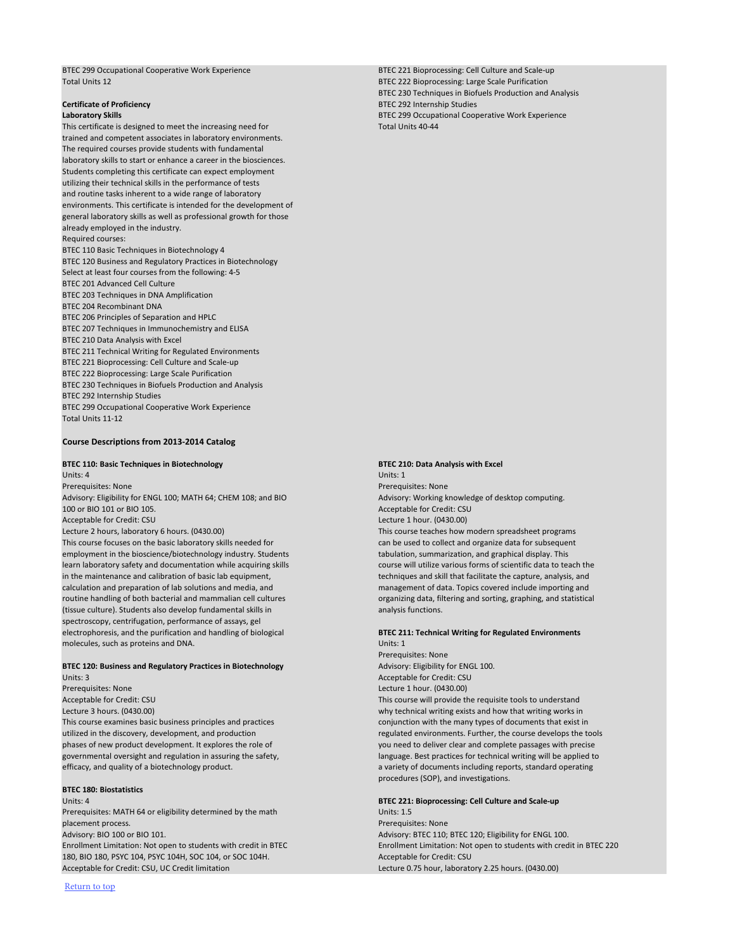BTEC 230 Techniques in Biofuels Production and Analysis **Certificate of Proficiency BTEC 292 Internship Studies Laboratory Skills** BTEC 299 Occupational Cooperative Work Experience

BTEC 299 Occupational Cooperative Work Experience BTEC 221 Bioprocessing: Cell Culture and Scale-up Total Units 12 **BTEC 222 Bioprocessing: Large Scale Purification** 

This certificate is designed to meet the increasing need for This certificate is designed to meet the increasing need for trained and competent associates in laboratory environments. The required courses provide students with fundamental laboratory skills to start or enhance a career in the biosciences. Students completing this certificate can expect employment utilizing their technical skills in the performance of tests and routine tasks inherent to a wide range of laboratory environments. This certificate is intended for the development of general laboratory skills as well as professional growth for those already employed in the industry. Required courses:

BTEC 110 Basic Techniques in Biotechnology 4 BTEC 120 Business and Regulatory Practices in Biotechnology Select at least four courses from the following: 4-5 BTEC 201 Advanced Cell Culture BTEC 203 Techniques in DNA Amplification BTEC 204 Recombinant DNA BTEC 206 Principles of Separation and HPLC BTEC 207 Techniques in Immunochemistry and ELISA BTEC 210 Data Analysis with Excel BTEC 211 Technical Writing for Regulated Environments BTEC 221 Bioprocessing: Cell Culture and Scale-up BTEC 222 Bioprocessing: Large Scale Purification BTEC 230 Techniques in Biofuels Production and Analysis BTEC 292 Internship Studies BTEC 299 Occupational Cooperative Work Experience Total Units 11-12

### **Course Descriptions from 2013-2014 Catalog**

### **BTEC 110: Basic Techniques in Biotechnology BTEC 210: Data Analysis with Excel**

This course examines basic business principles and practices conjunction with the many types of documents that exist in phases of new product development. It explores the role of you need to deliver clear and complete passages with precise efficacy, and quality of a biotechnology product. The variety of documents including reports, standard operating

Units: 4 **BTEC 221: Bioprocessing: Cell Culture and Scale-up** Prerequisites: MATH 64 or eligibility determined by the math Units: 1.5 placement process. Prerequisites: None Advisory: BIO 100 or BIO 101. Advisory: BTEC 110; BTEC 120; Eligibility for ENGL 100. 180, BIO 180, PSYC 104, PSYC 104H, SOC 104, or SOC 104H. Acceptable for Credit: CSU Acceptable for Credit: CSU, UC Credit limitation Lecture 0.75 hour, laboratory 2.25 hours. (0430.00)

Units: 4 Units: 1 Prerequisites: None Prerequisites: None Advisory: Eligibility for ENGL 100; MATH 64; CHEM 108; and BIO Advisory: Working knowledge of desktop computing. 100 or BIO 101 or BIO 105. Acceptable for Credit: CSU Acceptable for Credit: CSU Lecture 1 hour. (0430.00) Lecture 2 hours, laboratory 6 hours. (0430.00) **This course teaches how modern spreadsheet programs** This course focuses on the basic laboratory skills needed for can be used to collect and organize data for subsequent employment in the bioscience/biotechnology industry. Students tabulation, summarization, and graphical display. This learn laboratory safety and documentation while acquiring skills course will utilize various forms of scientific data to teach the in the maintenance and calibration of basic lab equipment, the main of the controller that facilitate the capture, analysis, and calculation and preparation of lab solutions and media, and management of data. Topics covered include importing and routine handling of both bacterial and mammalian cell cultures or and sorganizing data, filtering and sorting, graphing, and statistical (tissue culture). Students also develop fundamental skills in analysis functions. spectroscopy, centrifugation, performance of assays, gel electrophoresis, and the purification and handling of biological **BTEC 211: Technical Writing for Regulated Environments** molecules, such as proteins and DNA. Units: 1

**BTEC 120: Business and Regulatory Practices in Biotechnology Advisory: Eligibility for ENGL 100.** Units: 3 Acceptable for Credit: CSU Prerequisites: None Lecture 1 hour. (0430.00)

Prerequisites: None Acceptable for Credit: CSU This course will provide the requisite tools to understand Lecture 3 hours. (0430.00) why technical writing exists and how that writing works in utilized in the discovery, development, and production regulated environments. Further, the course develops the tools governmental oversight and regulation in assuring the safety, and the set practices for technical writing will be applied to procedures (SOP), and investigations.

### **BTEC 180: Biostatistics**

Enrollment Limitation: Not open to students with credit in BTEC Enrollment Limitation: Not open to students with credit in BTEC 220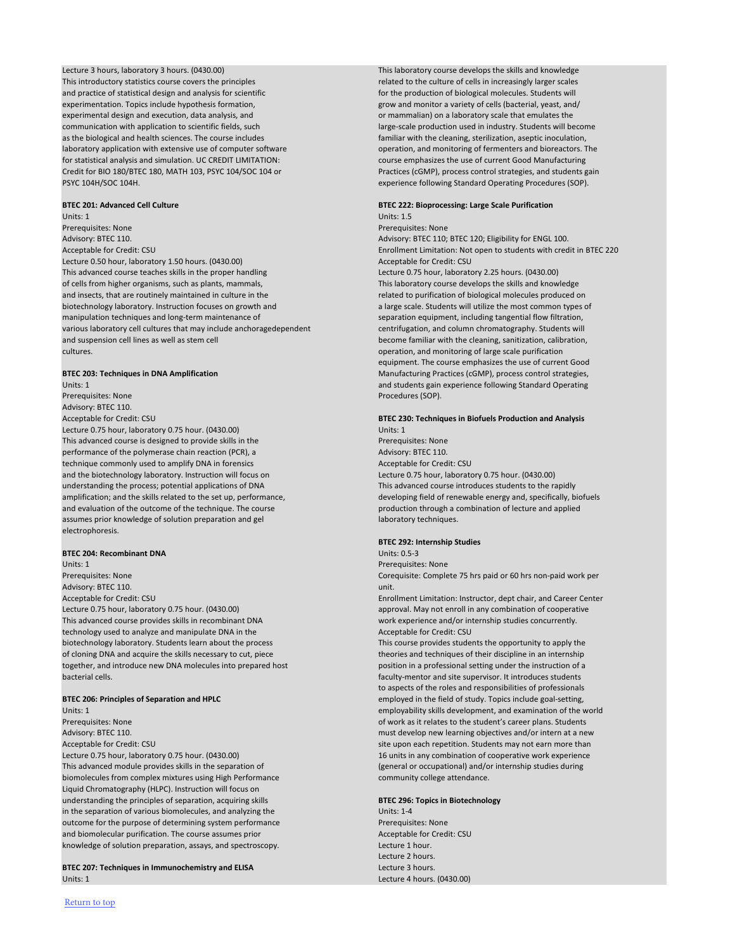This introductory statistics course covers the principles related to the culture of cells in increasingly larger scales and practice of statistical design and analysis for scientific **for the production of biological molecules**. Students will experimentation. Topics include hypothesis formation, experimentation a variety of cells (bacterial, yeast, and/ experimental design and execution, data analysis, and or mammalian) on a laboratory scale that emulates the communication with application to scientific fields, such large-scale production used in industry. Students will become as the biological and health sciences. The course includes familiar with the cleaning, sterilization, aseptic inoculation, laboratory application with extensive use of computer software operation, and monitoring of fermenters and bioreactors. The for statistical analysis and simulation. UC CREDIT LIMITATION: course emphasizes the use of current Good Manufacturing Credit for BIO 180/BTEC 180, MATH 103, PSYC 104/SOC 104 or Practices (cGMP), process control strategies, and students gain

Lecture 3 hours, laboratory 3 hours. (0430.00) This laboratory course develops the skills and knowledge PSYC 104H/SOC 104H. experience following Standard Operating Procedures (SOP).

equipment. The course emphasizes the use of current Good **BTEC 203: Techniques in DNA Amplification** Manufacturing Practices (cGMP), process control strategies,

amplification; and the skills related to the set up, performance, developing field of renewable energy and, specifically, biofuels

# **BTEC 201: Advanced Cell Culture BTEC 222: Bioprocessing: Large Scale Purification**

Units: 1 Units: 1.5 Prerequisites: None Prerequisites: None Advisory: BTEC 110. And The Case of the Case of the Case of Advisory: BTEC 110; BTEC 120; Eligibility for ENGL 100. Acceptable for Credit: CSU Enrollment Limitation: Not open to students with credit in BTEC 220 Lecture 0.50 hour, laboratory 1.50 hours. (0430.00) **Acceptable for Credit: CSU** This advanced course teaches skills in the proper handling Lecture 0.75 hour, laboratory 2.25 hours. (0430.00) of cells from higher organisms, such as plants, mammals, This laboratory course develops the skills and knowledge and insects, that are routinely maintained in culture in the related to purification of biological molecules produced on biotechnology laboratory. Instruction focuses on growth and a large scale. Students will utilize the most common types of manipulation techniques and long-term maintenance of separation equipment, including tangential flow filtration, various laboratory cell cultures that may include anchoragedependent centrifugation, and column chromatography. Students will and suspension cell lines as well as stem cell **become familiar with the cleaning**, sanitization, calibration, cultures. operation, and monitoring of large scale purification

to aspects of the roles and responsibilities of professionals **BTEC 206: Principles of Separation and HPLC** employed in the field of study. Topics include goal-setting, Units: 1 employability skills development, and examination of the world Prerequisites: None of work as it relates to the student's career plans. Students Advisory: BTEC 110. must develop new learning objectives and/or intern at a new Acceptable for Credit: CSU site upon each repetition. Students may not earn more than Lecture 0.75 hour, laboratory 0.75 hour. (0430.00) 16 units in any combination of cooperative work experience

This advanced module provides skills in the separation of (general or occupational) and/or internship studies during biomolecules from complex mixtures using High Performance community college attendance. Liquid Chromatography (HLPC). Instruction will focus on understanding the principles of separation, acquiring skills **BTEC 296: Topics in Biotechnology** in the separation of various biomolecules, and analyzing the Units: 1-4 outcome for the purpose of determining system performance **Preformance** Prerequisites: None and biomolecular purification. The course assumes prior and acceptable for Credit: CSU knowledge of solution preparation, assays, and spectroscopy. The example of solution preparation, assays, and spectroscopy.

### **BTEC 207: Techniques in Immunochemistry and ELISA Lecture 3 hours. Lecture 3 hours.** Units: 1 Lecture 4 hours. (0430.00)

Units: 1 and students gain experience following Standard Operating Prerequisites: None Procedures (SOP). Advisory: BTEC 110. Acceptable for Credit: CSU **BTEC 230: Techniques in Biofuels Production and Analysis** Lecture 0.75 hour, laboratory 0.75 hour. (0430.00) Units: 1 This advanced course is designed to provide skills in the Present Communication of Prerequisites: None performance of the polymerase chain reaction (PCR), a Advisory: BTEC 110. technique commonly used to amplify DNA in forensics Acceptable for Credit: CSU and the biotechnology laboratory. Instruction will focus on Lecture 0.75 hour, laboratory 0.75 hour. (0430.00) understanding the process; potential applications of DNA This advanced course introduces students to the rapidly and evaluation of the outcome of the technique. The course production through a combination of lecture and applied assumes prior knowledge of solution preparation and gel laboratory techniques. electrophoresis.

### **BTEC 204: Recombinant DNA Units: 0.5-3**

### **BTEC 292: Internship Studies**

Units: 1 Prerequisites: None Prerequisites: None Corequisite: Complete 75 hrs paid or 60 hrs non-paid work per Advisory: BTEC 110. Unit. Advisory: BTEC 110. Acceptable for Credit: CSU Enrollment Limitation: Instructor, dept chair, and Career Center Lecture 0.75 hour, laboratory 0.75 hour. (0430.00) Lecture 1. May not enroll in any combination of cooperative This advanced course provides skills in recombinant DNA work experience and/or internship studies concurrently. technology used to analyze and manipulate DNA in the Acceptable for Credit: CSU biotechnology laboratory. Students learn about the process This course provides students the opportunity to apply the of cloning DNA and acquire the skills necessary to cut, piece theories and techniques of their discipline in an internship together, and introduce new DNA molecules into prepared host position in a professional setting under the instruction of a bacterial cells. faculty-mentor and site supervisor. It introduces students

Lecture 2 hours.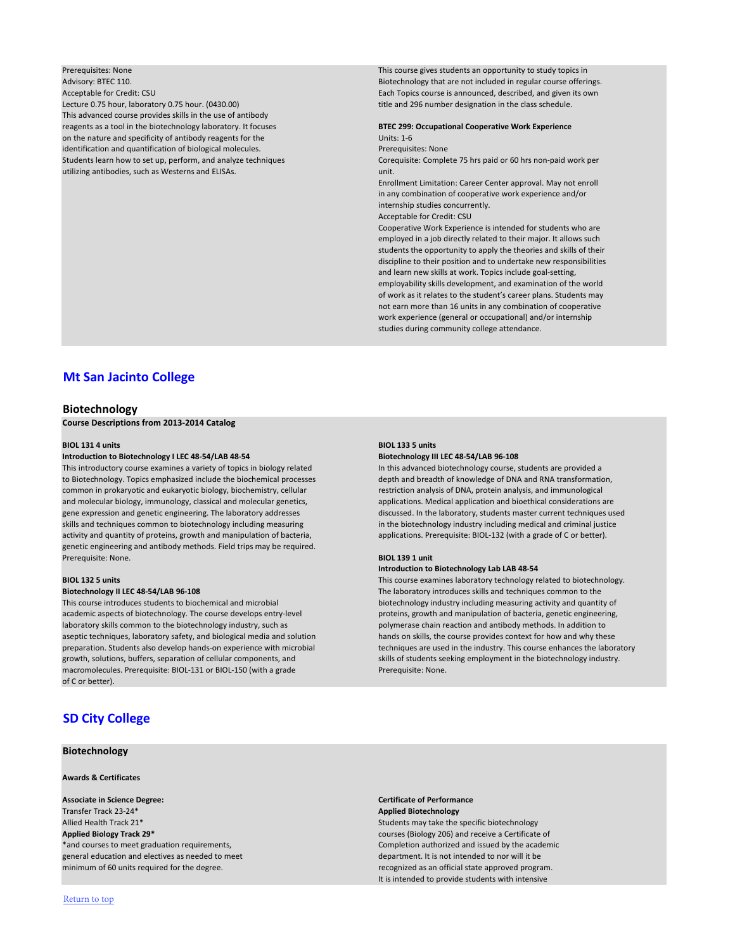Advisory: BTEC 110. Biotechnology that are not included in regular course offerings. Acceptable for Credit: CSU Each Topics course is announced, described, and given its own Lecture 0.75 hour, laboratory 0.75 hour. (0430.00) Lecture 1.1 and 296 number designation in the class schedule. This advanced course provides skills in the use of antibody reagents as a tool in the biotechnology laboratory. It focuses **BTEC 299: Occupational Cooperative Work Experience** on the nature and specificity of antibody reagents for the Units: 1-6 identification and quantification of biological molecules. The present of the presequisites: None Students learn how to set up, perform, and analyze techniques Corequisite: Complete 75 hrs paid or 60 hrs non-paid work per utilizing antibodies, such as Westerns and ELISAs. Unit. Unit.

<span id="page-3-0"></span>Prerequisites: None This course gives students an opportunity to study topics in

Enrollment Limitation: Career Center approval. May not enroll in any combination of cooperative work experience and/or internship studies concurrently.

Acceptable for Credit: CSU

Cooperative Work Experience is intended for students who are employed in a job directly related to their major. It allows such students the opportunity to apply the theories and skills of their discipline to their position and to undertake new responsibilities and learn new skills at work. Topics include goal-setting, employability skills development, and examination of the world of work as it relates to the student's career plans. Students may not earn more than 16 units in any combination of cooperative work experience (general or occupational) and/or internship studies during community college attendance.

# **[Mt San Jacinto College](http://www.msjc.edu/)**

### **Biotechnology**

**Course Descriptions from 2013-2014 Catalog**

### **BIOL 131 4 units BIOL 133 5 units**

### **Introduction to Biotechnology I LEC 48-54/LAB 48-54 Biotechnology III LEC 48-54/LAB 96-108**

academic aspects of biotechnology. The course develops entry-level proteins, growth and manipulation of bacteria, genetic engineering, laboratory skills common to the biotechnology industry, such as polymerase chain reaction and antibody methods. In addition to aseptic techniques, laboratory safety, and biological media and solution hands on skills, the course provides context for how and why these growth, solutions, buffers, separation of cellular components, and skills of students seeking employment in the biotechnology industry. macromolecules. Prerequisite: BIOL-131 or BIOL-150 (with a grade Prerequisite: None. of C or better).

## **Associate in Science Degree: Certificate of Performance** Transfer Track 23-24\* **Applied Biotechnology** Allied Health Track 21\* Students may take the specific biotechnology and the specific biotechnology **Applied Biology Track 29\*** courses (Biology 206) and receive a Certificate of general education and electives as needed to meet department. It is not intended to nor will it be minimum of 60 units required for the degree. The comparison of the state approved program.

\*and courses to meet graduation requirements, The Completion authorized and issued by the academic It is intended to provide students with intensive

This introductory course examines a variety of topics in biology related In this advanced biotechnology course, students are provided a to Biotechnology. Topics emphasized include the biochemical processes depth and breadth of knowledge of DNA and RNA transformation, common in prokaryotic and eukaryotic biology, biochemistry, cellular restriction analysis of DNA, protein analysis, and immunological and molecular biology, immunology, classical and molecular genetics, and applications. Medical application and bioethical considerations are gene expression and genetic engineering. The laboratory addresses discussed. In the laboratory, students master current techniques used skills and techniques common to biotechnology including measuring in the biotechnology industry including medical and criminal justice activity and quantity of proteins, growth and manipulation of bacteria, and mapplications. Prerequisite: BIOL-132 (with a grade of C or better). genetic engineering and antibody methods. Field trips may be required. Prerequisite: None. **BIOL 139 1 unit**

### **Introduction to Biotechnology Lab LAB 48-54**

**BIOL 132 5 units** This course examines laboratory technology related to biotechnology. **Biotechnology II LEC 48-54/LAB 96-108** The laboratory introduces skills and techniques common to the This course introduces students to biochemical and microbial biotechnology industry including measuring activity and quantity of preparation. Students also develop hands-on experience with microbial techniques are used in the industry. This course enhances the laboratory

# **[SD City College](http://www.sdcity.edu/)**

### **Biotechnology**

### **Awards & Certificates**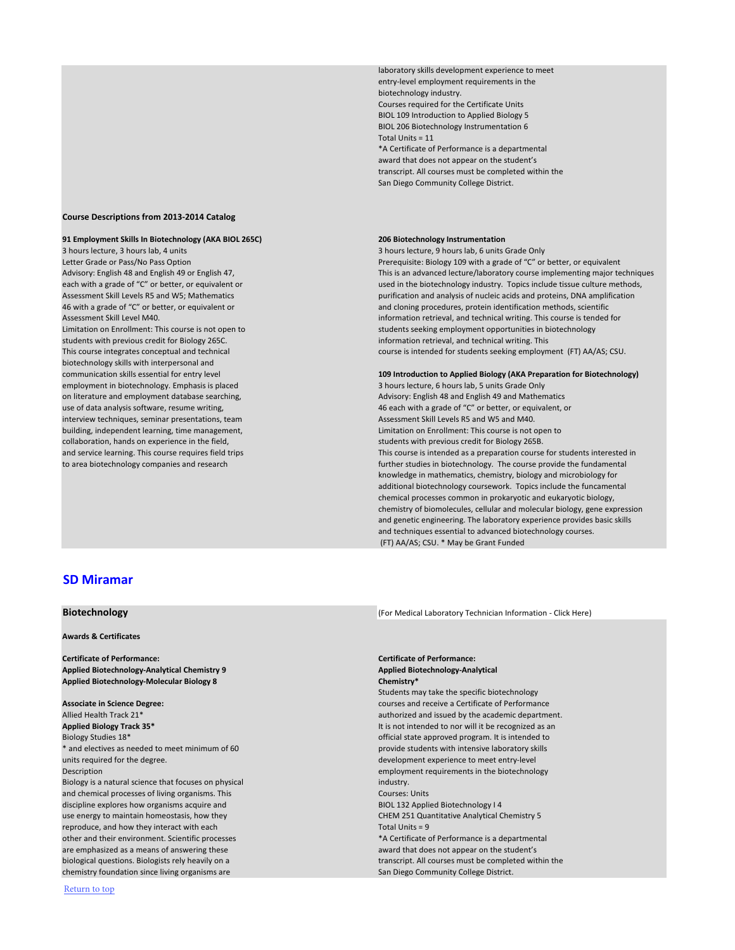laboratory skills development experience to meet entry-level employment requirements in the biotechnology industry. Courses required for the Certificate Units BIOL 109 Introduction to Applied Biology 5 BIOL 206 Biotechnology Instrumentation 6 Total Units = 11 \*A Certificate of Performance is a departmental award that does not appear on the student's transcript. All courses must be completed within the

3 hours lecture, 3 hours lab, 4 units 3 hours lecture, 9 hours lab, 6 units Grade Only students with previous credit for Biology 265C. **information retrieval, and technical writing**. This biotechnology skills with interpersonal and employment in biotechnology. Emphasis is placed 3 hours lecture, 6 hours lab, 5 units Grade Only on literature and employment database searching, and Advisory: English 48 and English 49 and Mathematics and Mathematics interview techniques, seminar presentations, team Assessment Skill Levels R5 and W5 and M40. building, independent learning, time management, Limitation on Enrollment: This course is not open to collaboration, hands on experience in the field, students with previous credit for Biology 265B.

San Diego Community College District.

### <span id="page-4-0"></span>**Course Descriptions from 2013-2014 Catalog**

### **91 Employment Skills In Biotechnology (AKA BIOL 265C) 206 Biotechnology Instrumentation**

Letter Grade or Pass/No Pass Option Prerequisite: Biology 109 with a grade of "C" or better, or equivalent Advisory: English 48 and English 49 or English 47, This is an advanced lecture/laboratory course implementing major techniques each with a grade of "C" or better, or equivalent or used in the biotechnology industry. Topics include tissue culture methods, Assessment Skill Levels R5 and W5; Mathematics purification and analysis of nucleic acids and proteins, DNA amplification 46 with a grade of "C" or better, or equivalent or and cloning procedures, protein identification methods, scientific Assessment Skill Level M40. information retrieval, and technical writing. This course is tended for Limitation on Enrollment: This course is not open to students seeking employment opportunities in biotechnology This course integrates conceptual and technical course is intended for students seeking employment (FT) AA/AS; CSU.

use of data analysis software, resume writing, the state of the state of "C" or better, or equivalent, or equivalent, or and service learning. This course requires field trips This course is intended as a preparation course for students interested in to area biotechnology companies and research further studies in biotechnology. The course provide the fundamental knowledge in mathematics, chemistry, biology and microbiology for additional biotechnology coursework. Topics include the funcamental chemical processes common in prokaryotic and eukaryotic biology, chemistry of biomolecules, cellular and molecular biology, gene expression and genetic engineering. The laboratory experience provides basic skills and techniques essential to advanced biotechnology courses. (FT) AA/AS; CSU. \* May be Grant Funded

Students may take the specific biotechnology Allied Health Track 21\* **Allied Health Track 21\*** authorized and issued by the academic department. biological questions. Biologists rely heavily on a transcript. All courses must be completed within the

**Associate in Science Degree:** courses and receive a Certificate of Performance **Applied Biology Track 35\*** It is not intended to nor will it be recognized as an Biology Studies 18\* **official state approved program. It is intended to by the state approved program. It is intended to** \* and electives as needed to meet minimum of 60 provide students with intensive laboratory skills units required for the degree. The contract of the degree is a state of the contract of the development experience to meet entry-level Description employment requirements in the biotechnology Biology is a natural science that focuses on physical industry. The industry industry. and chemical processes of living organisms. This Courses: Units Courses: Units discipline explores how organisms acquire and BIOL 132 Applied Biotechnology I 4 use energy to maintain homeostasis, how they CHEM 251 Quantitative Analytical Chemistry 5 reproduce, and how they interact with each  $\blacksquare$  Total Units = 9 other and their environment. Scientific processes \*A Certificate of Performance is a departmental are emphasized as a means of answering these and award that does not appear on the student's chemistry foundation since living organisms are San Diego Community College District.

**Biotechnology Biotechnology Click Here** [\(For Medical Laboratory Technician Information - Click Here\)](#page-6-0)

### communication skills essential for entry level **109 Introduction to Applied Biology (AKA Preparation for Biotechnology)**

## **[SD Miramar](http://www.sdmiramar.edu/)**

**Awards & Certificates**

**Certificate of Performance: Certificate of Performance:** Applied Biotechnology-Analytical Chemistry 9 **Applied Biotechnology-Analytical Applied Biotechnology-Molecular Biology 8 Chemistry\***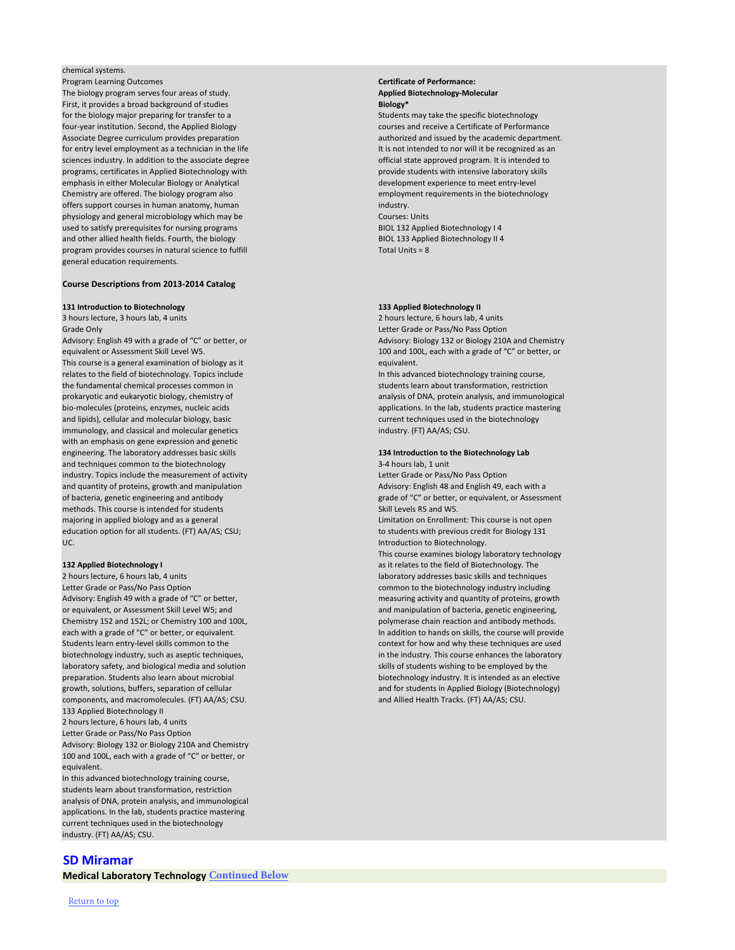### chemical systems.

Program Learning Outcomes **Certificate of Performance:** The biology program serves four areas of study. **Applied Biotechnology-Molecular** and the biology-**Molecular** First, it provides a broad background of studies **Biology\*** for the biology major preparing for transfer to a Students may take the specific biotechnology four-year institution. Second, the Applied Biology courses and receive a Certificate of Performance Associate Degree curriculum provides preparation and intervention authorized and issued by the academic department. for entry level employment as a technician in the life It is not intended to nor will it be recognized as an sciences industry. In addition to the associate degree **official state approved program. It is intended to** official state approved program. It is intended to programs, certificates in Applied Biotechnology with provide students with intensive laboratory skills emphasis in either Molecular Biology or Analytical development experience to meet entry-level Chemistry are offered. The biology program also employment requirements in the biotechnology offers support courses in human anatomy, human industry. Industry, industry, industry. physiology and general microbiology which may be Courses: Units used to satisfy prerequisites for nursing programs BIOL 132 Applied Biotechnology I 4 and other allied health fields. Fourth, the biology BIOL 133 Applied Biotechnology II 4 program provides courses in natural science to fulfill Total Units = 8 general education requirements.

### **Course Descriptions from 2013-2014 Catalog**

### **131 Introduction to Biotechnology 133 Applied Biotechnology II**

3 hours lecture, 3 hours lab, 4 units 2 hours lecture, 6 hours lab, 4 units Grade Only Letter Grade or Pass/No Pass Option

This course examines biology laboratory technology **132 Applied Biotechnology I** as it relates to the field of Biotechnology. The same of the field of Biotechnology. The

equivalent or Assessment Skill Level W5. 100 and 100L, each with a grade of "C" or better, or This course is a general examination of biology as it equivalent. relates to the field of biotechnology. Topics include In this advanced biotechnology training course, the fundamental chemical processes common in students learn about transformation, restriction prokaryotic and eukaryotic biology, chemistry of analysis of DNA, protein analysis, and immunological bio-molecules (proteins, enzymes, nucleic acids applications. In the lab, students practice mastering and lipids), cellular and molecular biology, basic current techniques used in the biotechnology immunology, and classical and molecular genetics industry. (FT) AA/AS; CSU. with an emphasis on gene expression and genetic engineering. The laboratory addresses basic skills **134 Introduction to the Biotechnology Lab** and techniques common to the biotechnology and technology 3-4 hours lab, 1 unit industry. Topics include the measurement of activity Letter Grade or Pass/No Pass Option and quantity of proteins, growth and manipulation Advicence Advisory: English 48 and English 49, each with a of bacteria, genetic engineering and antibody grade of "C" or better, or equivalent, or Assessment methods. This course is intended for students Skill Levels R5 and W5. majoring in applied biology and as a general Limitation on Enrollment: This course is not open education option for all students. (FT) AA/AS; CSU; the students with previous credit for Biology 131 UC. Introduction to Biotechnology.

2 hours lecture, 6 hours lab, 4 units laboratory addresses basic skills and techniques Letter Grade or Pass/No Pass Option common to the biotechnology industry including Advisory: English 49 with a grade of "C" or better, measuring activity and quantity of proteins, growth or equivalent, or Assessment Skill Level W5; and and manipulation of bacteria, genetic engineering, Chemistry 152 and 152L; or Chemistry 100 and 100L, polymerase chain reaction and antibody methods. each with a grade of "C" or better, or equivalent. In addition to hands on skills, the course will provide Students learn entry-level skills common to the context for how and why these techniques are used biotechnology industry, such as aseptic techniques, in the industry. This course enhances the laboratory laboratory safety, and biological media and solution skills of students wishing to be employed by the preparation. Students also learn about microbial biotechnology industry. It is intended as an elective growth, solutions, buffers, separation of cellular and for students in Applied Biology (Biotechnology) components, and macromolecules. (FT) AA/AS; CSU. **Access 2018** and Allied Health Tracks. (FT) AA/AS; CSU. 133 Applied Biotechnology II 2 hours lecture, 6 hours lab, 4 units Letter Grade or Pass/No Pass Option Advisory: Biology 132 or Biology 210A and Chemistry 100 and 100L, each with a grade of "C" or better, or equivalent. In this advanced biotechnology training course, students learn about transformation, restriction analysis of DNA, protein analysis, and immunological applications. In the lab, students practice mastering current techniques used in the biotechnology industry. (FT) AA/AS; CSU.

Advisory: English 49 with a grade of "C" or better, or Advisory: Biology 132 or Biology 210A and Chemistry

## **[SD Miramar](http://www.sdmiramar.edu/)**

**Medical Laboratory Technology Continued Below**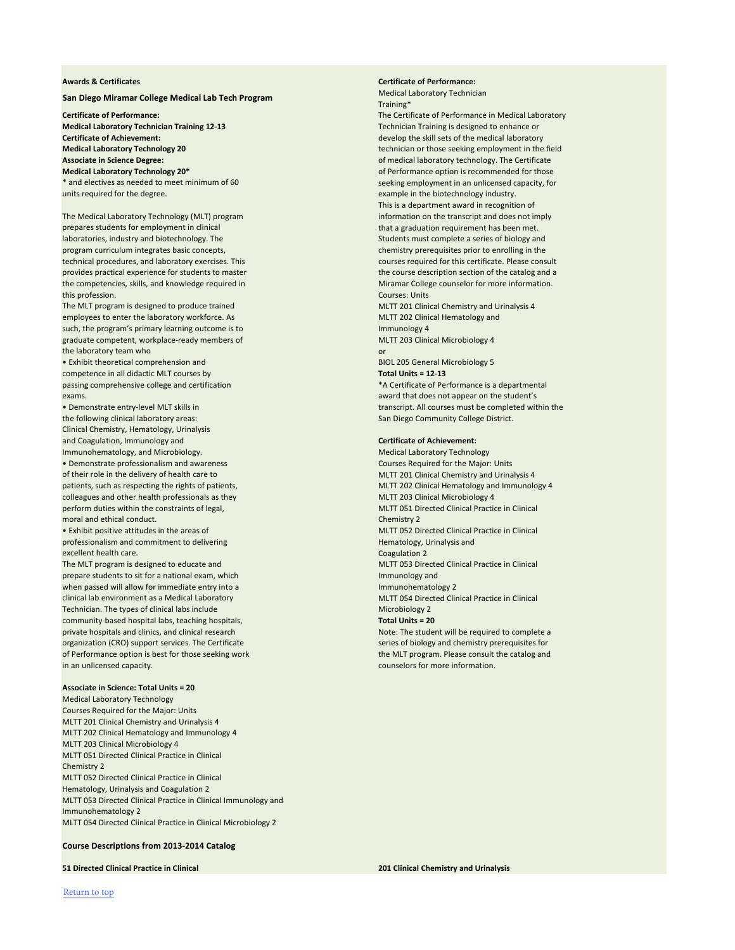### <span id="page-6-0"></span>**Awards & Certificates Certificate of Performance:**

Medical Laboratory Technician Training\*

**Certificate of Performance:** The Certificate of Performance in Medical Laboratory **Medical Laboratory Technology 20 technician or those seeking employment in the field Associate in Science Degree:** of medical laboratory technology. The Certificate **Medical Laboratory Technology 20\* of Performance option is recommended for those** \* and electives as needed to meet minimum of 60 seeking employment in an unlicensed capacity, for This is a department award in recognition of

passing comprehensive college and certification **\*A** Certificate of Performance is a departmental • Demonstrate entry-level MLT skills in the transcript. All courses must be completed within the

• Exhibit positive attitudes in the areas of MLTT 052 Directed Clinical Practice in Clinical The MLT program is designed to educate and MLTT 053 Directed Clinical Practice in Clinical Practice in Clinical

The MLT program is designed to produce trained MLTT 201 Clinical Chemistry and Urinalysis 4 employees to enter the laboratory workforce. As MET 202 Clinical Hematology and such, the program's primary learning outcome is to Immunology 4 graduate competent, workplace-ready members of MLTT 203 Clinical Microbiology 4 the laboratory team who or

• Exhibit theoretical comprehension and **BIOL 205 General Microbiology 5** competence in all didactic MLT courses by **Total Units = 12-13** exams. award that does not appear on the student's

the following clinical laboratory areas: San Diego Community College District. Clinical Chemistry, Hematology, Urinalysis and Coagulation, Immunology and **Certificate of Achievement:** Immunohematology, and Microbiology. Medical Laboratory Technology

• Demonstrate professionalism and awareness **Courses Required for the Major: Units** Courses Required for the Major: Units of their role in the delivery of health care to MLTT 201 Clinical Chemistry and Urinalysis 4 patients, such as respecting the rights of patients, MET 202 Clinical Hematology and Immunology 4 colleagues and other health professionals as they MLTT 203 Clinical Microbiology 4 perform duties within the constraints of legal, MET 051 Directed Clinical Practice in Clinical Practice in Clinical moral and ethical conduct. The conduction of the chemistry 2 chemistry 2 chemistry 2

professionalism and commitment to delivering example of the example of the Hematology, Urinalysis and excellent health care. Coagulation 2 and 2 and 2 and 2 and 2 and 2 and 2 and 2 and 2 and 2 and 2 and 2 and 2 and 2 and 2 and 2 and 2 and 2 and 2 and 2 and 2 and 2 and 2 and 2 and 2 and 2 and 2 and 2 and 2 and 2 and 2 and 2

prepare students to sit for a national exam, which Immunology and Immunology and when passed will allow for immediate entry into a Immunohematology 2 clinical lab environment as a Medical Laboratory MLTT 054 Directed Clinical Practice in Clinical Technician. The types of clinical labs include Microbiology 2 community-based hospital labs, teaching hospitals, **Total Units = 20** and the state of the state of the state of the state of the state of the state of the state of the state of the state of the state of the state of the s private hospitals and clinics, and clinical research Note: The student will be required to complete a organization (CRO) support services. The Certificate series of series of biology and chemistry prerequisites for of Performance option is best for those seeking work the MLT program. Please consult the catalog and in an unlicensed capacity. counselors for more information.

Courses Required for the Major: Units MLTT 201 Clinical Chemistry and Urinalysis 4 MLTT 202 Clinical Hematology and Immunology 4 MLTT 203 Clinical Microbiology 4 MLTT 051 Directed Clinical Practice in Clinical Chemistry 2 MLTT 052 Directed Clinical Practice in Clinical Hematology, Urinalysis and Coagulation 2 MLTT 053 Directed Clinical Practice in Clinical Immunology and Immunohematology 2 MLTT 054 Directed Clinical Practice in Clinical Microbiology 2

**Course Descriptions from 2013-2014 Catalog**

**51 Directed Clinical Practice in Clinical 201 Clinical Chemistry and Urinalysis**

### **San Diego Miramar College Medical Lab Tech Program**

**Medical Laboratory Technician Training 12-13** Technician Training is designed to enhance or **Certificate of Achievement:** develop the skill sets of the medical laboratory units required for the degree. The sample in the biotechnology industry.

The Medical Laboratory Technology (MLT) program information on the transcript and does not imply prepares students for employment in clinical that a graduation requirement has been met. laboratories, industry and biotechnology. The Students must complete a series of biology and program curriculum integrates basic concepts, chemistry prerequisites prior to enrolling in the technical procedures, and laboratory exercises. This courses required for this certificate. Please consult provides practical experience for students to master the course the course description section of the catalog and a the competencies, skills, and knowledge required in Miramar College counselor for more information. **this profession.** Courses: Units **Courses: Units**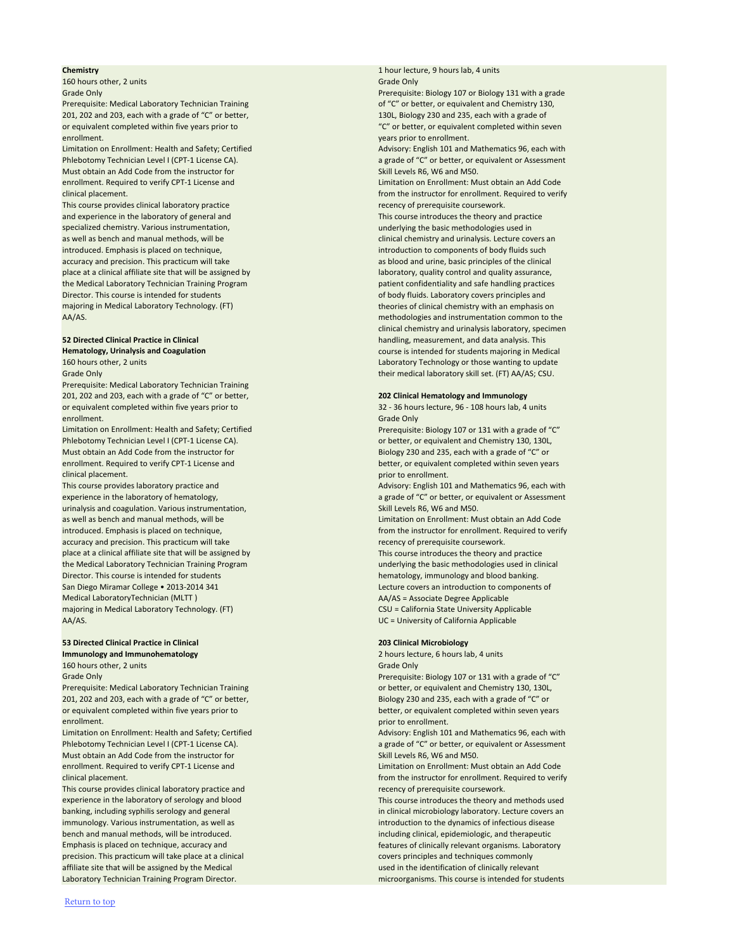**160 hours other, 2 units Grade Only and Contact Contact Conducts Conducts Conducts Conducts Conducts Conducts** Grade Only

Grade Only Prerequisite: Biology 107 or Biology 131 with a grade Prerequisite: Medical Laboratory Technician Training and Chemistry 130,

Phlebotomy Technician Level I (CPT-1 License CA). The agrade of "C" or better, or equivalent or Assessment

201, 202 and 203, each with a grade of "C" or better, 130L, Biology 230 and 235, each with a grade of or equivalent completed within five years prior to "C" or better, or equivalent completed within seven enrollment. years prior to enrollment.

Limitation on Enrollment: Health and Safety; Certified Advisory: English 101 and Mathematics 96, each with Must obtain an Add Code from the instructor for Skill Levels R6, W6 and M50. enrollment. Required to verify CPT-1 License and Limitation on Enrollment: Must obtain an Add Code clinical placement. The instructor for enrollment. Required to verify

This course provides clinical laboratory practice recency of prerequisite coursework. and experience in the laboratory of general and This course introduces the theory and practice specialized chemistry. Various instrumentation, and the matrix of the matrix of the basic methodologies used in as well as bench and manual methods, will be clinical chemistry and urinalysis. Lecture covers an introduced. Emphasis is placed on technique, introduction to components of body fluids such introduction to components of body fluids such accuracy and precision. This practicum will take as a blood and urine, basic principles of the clinical place at a clinical affiliate site that will be assigned by laboratory, quality control and quality assurance, the Medical Laboratory Technician Training Program patient confidentiality and safe handling practices Director. This course is intended for students of body fluids. Laboratory covers principles and majoring in Medical Laboratory Technology. (FT) theories of clinical chemistry with an emphasis on AA/AS. methodologies and instrumentation common to the

Prerequisite: Medical Laboratory Technician Training 201, 202 and 203, each with a grade of "C" or better, **202 Clinical Hematology and Immunology** or equivalent completed within five years prior to 32 - 36 hours lecture, 96 - 108 hours lab, 4 units enrollment. Grade Only and Grade Only and Grade Only and Grade Only and Grade Only

Phlebotomy Technician Level I (CPT-1 License CA). Or better, or equivalent and Chemistry 130, 130L, Must obtain an Add Code from the instructor for Biology 230 and 235, each with a grade of "C" or enrollment. Required to verify CPT-1 License and better, or equivalent completed within seven years clinical placement. **prior to enrollment** clinical placement.

urinalysis and coagulation. Various instrumentation, School Communication and M50. as well as bench and manual methods, will be Limitation on Enrollment: Must obtain an Add Code introduced. Emphasis is placed on technique, introduced on the instructor for enrollment. Required to verify accuracy and precision. This practicum will take a recency of prerequisite coursework. place at a clinical affiliate site that will be assigned by This course introduces the theory and practice the Medical Laboratory Technician Training Program underlying the basic methodologies used in clinical Director. This course is intended for students here here hematology, immunology and blood banking. San Diego Miramar College • 2013-2014 341 Lecture covers an introduction to components of Medical LaboratoryTechnician (MLTT ) AA/AS = Associate Degree Applicable majoring in Medical Laboratory Technology. (FT) CSU = California State University Applicable AA/AS. UC = University of California Applicable

**53 Directed Clinical Practice in Clinical 203 Clinical Microbiology Immunology and Immunohematology** 2 hours lecture, 6 hours lab, 4 units **160 hours other, 2 units Grade Only and Construction Construction Construction Construction Construction Construction Construction Construction Construction Construction Construction Construction Construction Construction** 

# **Chemistry 1** hour lecture, 9 hours lab, 4 units

clinical chemistry and urinalysis laboratory, specimen **52 Directed Clinical Practice in Clinical handling**, measurement, and data analysis. This **Hematology, Urinalysis and Coagulation** course is intended for students majoring in Medical 160 hours other, 2 units Laboratory Technology or those wanting to update Grade Only their medical laboratory skill set. (FT) AA/AS; CSU.

Limitation on Enrollment: Health and Safety; Certified Prerequisite: Biology 107 or 131 with a grade of "C"

This course provides laboratory practice and Advisory: English 101 and Mathematics 96, each with experience in the laboratory of hematology, a grade of "C" or better, or equivalent or Assessment

Grade Only Prerequisite: Biology 107 or 131 with a grade of "C" Prerequisite: Medical Laboratory Technician Training **Calcular 2018** or better, or equivalent and Chemistry 130, 130L, 201, 202 and 203, each with a grade of "C" or better, Biology 230 and 235, each with a grade of "C" or Limitation on Enrollment: Health and Safety; Certified Advisory: English 101 and Mathematics 96, each with Phlebotomy Technician Level I (CPT-1 License CA). A grade of "C" or better, or equivalent or Assessment clinical placement. from the instructor for enrollment. Required to verify experience in the laboratory of serology and blood experience introduces the theory and methods used banking, including syphilis serology and general in clinical microbiology laboratory. Lecture covers an

or equivalent completed within five years prior to better, or equivalent completed within seven years enrollment. The contract of the contract of the contract of the contract of the contract of the contract of the contract of the contract of the contract of the contract of the contract of the contract of the contract of th

Must obtain an Add Code from the instructor for Skill Levels R6, W6 and M50. enrollment. Required to verify CPT-1 License and Limitation on Enrollment: Must obtain an Add Code

This course provides clinical laboratory practice and recency of prerequisite coursework. immunology. Various instrumentation, as well as internal controlled as introduction to the dynamics of infectious disease bench and manual methods, will be introduced. including clinical, epidemiologic, and therapeutic Emphasis is placed on technique, accuracy and features of clinically relevant organisms. Laboratory precision. This practicum will take place at a clinical covers principles and techniques commonly affiliate site that will be assigned by the Medical used in the identification of clinically relevant Laboratory Technician Training Program Director. This course is intended for students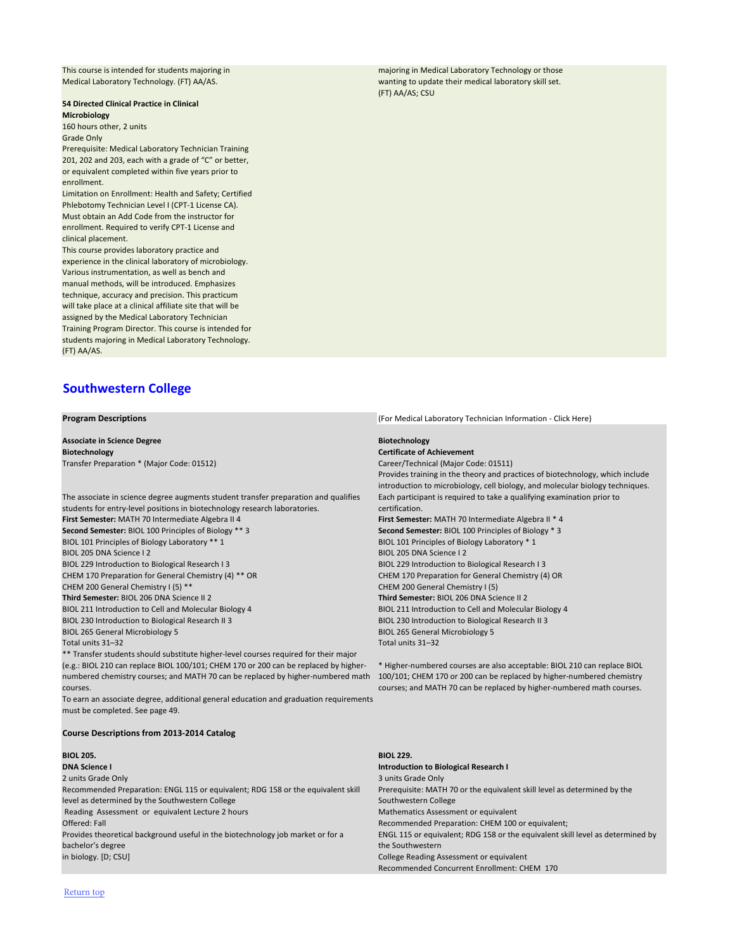<span id="page-8-0"></span>This course is intended for students majoring in majoring in Medical Laboratory Technology or those

Medical Laboratory Technology. (FT) AA/AS. wanting to update their medical laboratory skill set. (FT) AA/AS; CSU

### **54 Directed Clinical Practice in Clinical Microbiology**

160 hours other, 2 units

Grade Only

Prerequisite: Medical Laboratory Technician Training 201, 202 and 203, each with a grade of "C" or better, or equivalent completed within five years prior to enrollment.

Limitation on Enrollment: Health and Safety; Certified Phlebotomy Technician Level I (CPT-1 License CA). Must obtain an Add Code from the instructor for enrollment. Required to verify CPT-1 License and clinical placement.

This course provides laboratory practice and experience in the clinical laboratory of microbiology. Various instrumentation, as well as bench and manual methods, will be introduced. Emphasizes technique, accuracy and precision. This practicum will take place at a clinical affiliate site that will be assigned by the Medical Laboratory Technician Training Program Director. This course is intended for students majoring in Medical Laboratory Technology. (FT) AA/AS.

# **[Southwestern College](http://www.swccd.edu/)**

**Program Descriptions** [\(For Medical Laboratory Technician Information - Click Here\)](#page-9-0)

**Associate in Science Degree Biotechnology Biotechnology Certificate of Achievement** Transfer Preparation \* (Major Code: 01512) Career/Technical (Major Code: 01511)

The associate in science degree augments student transfer preparation and qualifies students for entry-level positions in biotechnology research laboratories. **First Semester:** MATH 70 Intermediate Algebra II 4 **First Semester:** MATH 70 Intermediate Algebra II \* 4 **Second Semester:** BIOL 100 Principles of Biology \*\* 3 **Second Semester:** BIOL 100 Principles of Biology \* 3 BIOL 101 Principles of Biology Laboratory \*\* 1 BIOL 101 Principles of Biology Laboratory \* 1 BIOL 205 DNA Science I 2 BIOL 205 DNA Science I 2 BIOL 229 Introduction to Biological Research I 3 BIOL 229 Introduction to Biological Research I 3 CHEM 170 Preparation for General Chemistry (4) \*\* OR CHEM 170 Preparation for General Chemistry (4) OR CHEM 200 General Chemistry I (5) \*\* CHEM 200 General Chemistry I (5) **Third Semester:** BIOL 206 DNA Science II 2 **Third Semester:** BIOL 206 DNA Science II 2 BIOL 211 Introduction to Cell and Molecular Biology 4 BIOL 211 Introduction to Cell and Molecular Biology 4

Provides training in the theory and practices of biotechnology, which include introduction to microbiology, cell biology, and molecular biology techniques. Each participant is required to take a qualifying examination prior to certification. BIOL 230 Introduction to Biological Research II 3 BIOL 230 Introduction to Biological Research II 3 BIOL 265 General Microbiology 5 BIOL 265 General Microbiology 5

Total units 31–32 Total units 31–32

\*\* Transfer students should substitute higher-level courses required for their major (e.g.: BIOL 210 can replace BIOL 100/101; CHEM 170 or 200 can be replaced by highernumbered chemistry courses; and MATH 70 can be replaced by higher-numbered math courses.

\* Higher-numbered courses are also acceptable: BIOL 210 can replace BIOL 100/101; CHEM 170 or 200 can be replaced by higher-numbered chemistry courses; and MATH 70 can be replaced by higher-numbered math courses.

To earn an associate degree, additional general education and graduation requirements

must be completed. See page 49.

### **Course Descriptions from 2013-2014 Catalog**

### **BIOL 205. BIOL 229.**

2 units Grade Only 3 units Grade Only 3 units Grade Only 3 units Grade Only 3 units Grade Only

### **DNA Science I Introduction to Biological Research I**

Recommended Preparation: ENGL 115 or equivalent; RDG 158 or the equivalent skill

level as determined by the Southwestern College

Reading Assessment or equivalent Lecture 2 hours Mathematics Assessment or equivalent

Prerequisite: MATH 70 or the equivalent skill level as determined by the

### Southwestern College

Offered: Fall Recommended Preparation: CHEM 100 or equivalent;

Provides theoretical background useful in the biotechnology job market or for a bachelor's degree

ENGL 115 or equivalent; RDG 158 or the equivalent skill level as determined by the Southwestern

in biology. [D; CSU] College Reading Assessment or equivalent Recommended Concurrent Enrollment: CHEM 170

[Return top](#page-0-0)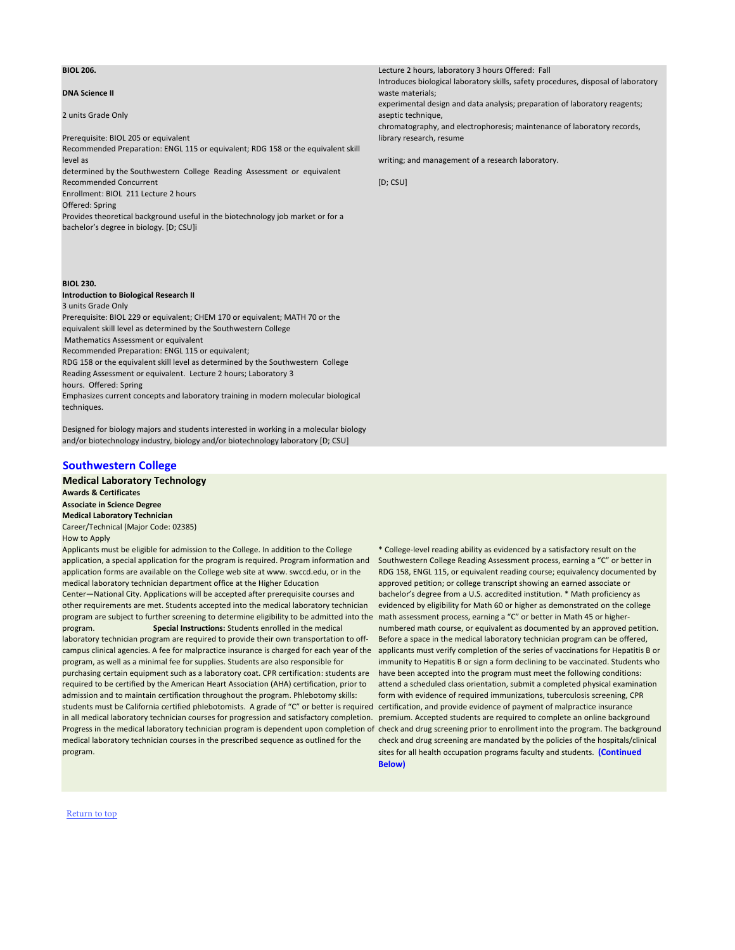### **DNA Science II**

Introduces biological laboratory skills, safety procedures, disposal of laboratory waste materials;

2 units Grade Only

experimental design and data analysis; preparation of laboratory reagents; aseptic technique,

determined by the Southwestern College Reading Assessment or equivalent Recommended Concurrent [D; CSU]

Prerequisite: BIOL 205 or equivalent

chromatography, and electrophoresis; maintenance of laboratory records, library research, resume

Recommended Preparation: ENGL 115 or equivalent; RDG 158 or the equivalent skill level as writing; and management of a research laboratory.

Enrollment: BIOL 211 Lecture 2 hours

Offered: Spring

Provides theoretical background useful in the biotechnology job market or for a bachelor's degree in biology. [D; CSU]i

**BIOL 230. Introduction to Biological Research II** 3 units Grade Only Prerequisite: BIOL 229 or equivalent; CHEM 170 or equivalent; MATH 70 or the equivalent skill level as determined by the Southwestern College Mathematics Assessment or equivalent Recommended Preparation: ENGL 115 or equivalent; RDG 158 or the equivalent skill level as determined by the Southwestern College

Reading Assessment or equivalent. Lecture 2 hours; Laboratory 3

hours. Offered: Spring

Emphasizes current concepts and laboratory training in modern molecular biological techniques.

Designed for biology majors and students interested in working in a molecular biology and/or biotechnology industry, biology and/or biotechnology laboratory [D; CSU]

## **[Southwestern College](http://www.swccd.edu/)**

**Medical Laboratory Technology Awards & Certificates Associate in Science Degree Medical Laboratory Technician** Career/Technical (Major Code: 02385) How to Apply

Applicants must be eligible for admission to the College. In addition to the College application, a special application for the program is required. Program information and application forms are available on the College web site at www. swccd.edu, or in the medical laboratory technician department office at the Higher Education Center—National City. Applications will be accepted after prerequisite courses and other requirements are met. Students accepted into the medical laboratory technician program are subject to further screening to determine eligibility to be admitted into the program. **Special Instructions:** Students enrolled in the medical laboratory technician program are required to provide their own transportation to offcampus clinical agencies. A fee for malpractice insurance is charged for each year of the program, as well as a minimal fee for supplies. Students are also responsible for purchasing certain equipment such as a laboratory coat. CPR certification: students are required to be certified by the American Heart Association (AHA) certification, prior to admission and to maintain certification throughout the program. Phlebotomy skills:

<span id="page-9-0"></span>**BIOL 206. BIOL 206. Lecture 2 hours, laboratory 3 hours Offered: Fall** 

students must be California certified phlebotomists. A grade of "C" or better is required certification, and provide evidence of payment of malpractice insurance in all medical laboratory technician courses for progression and satisfactory completion. premium. Accepted students are required to complete an online background Progress in the medical laboratory technician program is dependent upon completion of check and drug screening prior to enrollment into the program. The background medical laboratory technician courses in the prescribed sequence as outlined for the program. check and drug screening are mandated by the policies of the hospitals/clinical sites for all health occupation programs faculty and students. **(Continued** 

\* College-level reading ability as evidenced by a satisfactory result on the Southwestern College Reading Assessment process, earning a "C" or better in RDG 158, ENGL 115, or equivalent reading course; equivalency documented by approved petition; or college transcript showing an earned associate or bachelor's degree from a U.S. accredited institution. \* Math proficiency as evidenced by eligibility for Math 60 or higher as demonstrated on the college math assessment process, earning a "C" or better in Math 45 or highernumbered math course, or equivalent as documented by an approved petition. Before a space in the medical laboratory technician program can be offered, applicants must verify completion of the series of vaccinations for Hepatitis B or immunity to Hepatitis B or sign a form declining to be vaccinated. Students who have been accepted into the program must meet the following conditions: attend a scheduled class orientation, submit a completed physical examination form with evidence of required immunizations, tuberculosis screening, CPR

**Below)**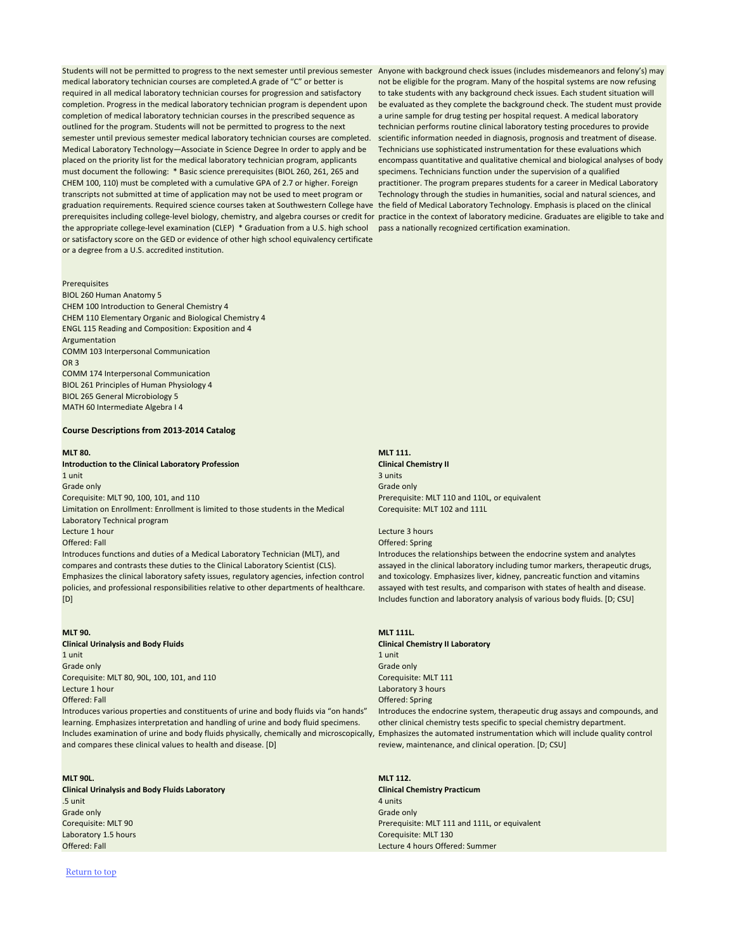Students will not be permitted to progress to the next semester until previous semester Anyone with background check issues (includes misdemeanors and felony's) may medical laboratory technician courses are completed.A grade of "C" or better is required in all medical laboratory technician courses for progression and satisfactory completion. Progress in the medical laboratory technician program is dependent upon completion of medical laboratory technician courses in the prescribed sequence as outlined for the program. Students will not be permitted to progress to the next semester until previous semester medical laboratory technician courses are completed. Medical Laboratory Technology—Associate in Science Degree In order to apply and be placed on the priority list for the medical laboratory technician program, applicants must document the following: \* Basic science prerequisites (BIOL 260, 261, 265 and CHEM 100, 110) must be completed with a cumulative GPA of 2.7 or higher. Foreign transcripts not submitted at time of application may not be used to meet program or graduation requirements. Required science courses taken at Southwestern College have prerequisites including college-level biology, chemistry, and algebra courses or credit for the appropriate college-level examination (CLEP) \* Graduation from a U.S. high school or satisfactory score on the GED or evidence of other high school equivalency certificate or a degree from a U.S. accredited institution.

not be eligible for the program. Many of the hospital systems are now refusing to take students with any background check issues. Each student situation will be evaluated as they complete the background check. The student must provide a urine sample for drug testing per hospital request. A medical laboratory technician performs routine clinical laboratory testing procedures to provide scientific information needed in diagnosis, prognosis and treatment of disease. Technicians use sophisticated instrumentation for these evaluations which encompass quantitative and qualitative chemical and biological analyses of body specimens. Technicians function under the supervision of a qualified practitioner. The program prepares students for a career in Medical Laboratory Technology through the studies in humanities, social and natural sciences, and the field of Medical Laboratory Technology. Emphasis is placed on the clinical practice in the context of laboratory medicine. Graduates are eligible to take and pass a nationally recognized certification examination.

### Prerequisites

BIOL 260 Human Anatomy 5 CHEM 100 Introduction to General Chemistry 4 CHEM 110 Elementary Organic and Biological Chemistry 4 ENGL 115 Reading and Composition: Exposition and 4 Argumentation COMM 103 Interpersonal Communication OR 3 COMM 174 Interpersonal Communication BIOL 261 Principles of Human Physiology 4 BIOL 265 General Microbiology 5 MATH 60 Intermediate Algebra I 4

### **Course Descriptions from 2013-2014 Catalog**

### **MLT 80. MLT 111.**

Corequisite: MLT 102 and 111L

**Introduction to the Clinical Laboratory Profession Clinical Chemistry II**  $1$  unit $3$  units  $3$  units  $3$  units  $3$  units  $3$  units  $3$  units  $3$ Grade only Grade only Corequisite: MLT 90, 100, 101, and 110 **Premium and 110** Prerequisite: MLT 110 and 110L, or equivalent Limitation on Enrollment: Enrollment is limited to those students in the Medical Laboratory Technical program **Lecture 1 hour** Lecture 3 hours and the contract of the contract of the contract of the contract of the contract of the contract of the contract of the contract of the contract of the contract of the contract of the contr Offered: Fall Offered: Spring Introduces functions and duties of a Medical Laboratory Technician (MLT), and compares and contrasts these duties to the Clinical Laboratory Scientist (CLS). Emphasizes the clinical laboratory safety issues, regulatory agencies, infection control policies, and professional responsibilities relative to other departments of healthcare.

### [D]

Introduces the relationships between the endocrine system and analytes assayed in the clinical laboratory including tumor markers, therapeutic drugs, and toxicology. Emphasizes liver, kidney, pancreatic function and vitamins assayed with test results, and comparison with states of health and disease. Includes function and laboratory analysis of various body fluids. [D; CSU]

**MLT 90. MLT 111L. Clinical Urinalysis and Body Fluids Clinical Chemistry II Laboratory**  $1$  unit  $1$  unit  $1$  unit  $1$  unit  $1$  unit  $1$  unit  $1$  unit  $1$  unit  $1$  unit  $1$ Grade only Grade only Corequisite: MLT 80, 90L, 100, 101, and 110 Corequisite: MLT 111 Corequisite: MLT 111 **Lecture 1 hour** Laboratory 3 hours and  $\mathbb{R}$  and  $\mathbb{R}$  and  $\mathbb{R}$  are laboratory 3 hours and  $\mathbb{R}$  and  $\mathbb{R}$  are laboratory 3 hours and  $\mathbb{R}$  are laboratory 3 hours Offered: Fall Offered: Spring

Introduces various properties and constituents of urine and body fluids via "on hands" learning. Emphasizes interpretation and handling of urine and body fluid specimens. Includes examination of urine and body fluids physically, chemically and microscopically, Emphasizes the automated instrumentation which will include quality control and compares these clinical values to health and disease. [D]

Introduces the endocrine system, therapeutic drug assays and compounds, and other clinical chemistry tests specific to special chemistry department. review, maintenance, and clinical operation. [D; CSU]

### **MLT 90L. MLT 112. Clinical Urinalysis and Body Fluids Laboratory Clinical Chemistry Practicum** .5 unit 4 units and 2 units and 2 units and 2 units and 2 units and 2 units and 2 units 4 units Grade only Grade only Grade only Grade only  $\mathbb{G}$  and  $\mathbb{G}$  and  $\mathbb{G}$  and  $\mathbb{G}$  and  $\mathbb{G}$  and  $\mathbb{G}$  and  $\mathbb{G}$  and  $\mathbb{G}$  and  $\mathbb{G}$  and  $\mathbb{G}$  and  $\mathbb{G}$  and  $\mathbb{G}$  and  $\mathbb{G}$  and  $\mathbb{G}$  Corequisite: MLT 90 **Preference of the Contract of Corequisite: MLT 111 and 111L**, or equivalent Laboratory 1.5 hours and the contract of the contract of the contract of the core Corequisite: MLT 130 Offered: Fall Lecture 4 hours Offered: Summer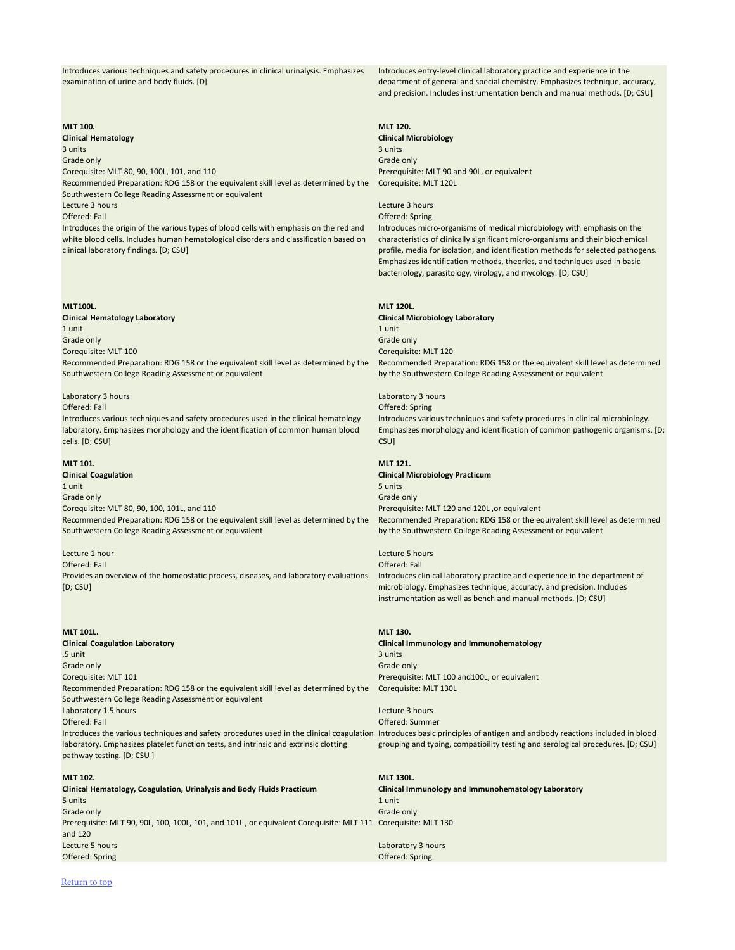Introduces various techniques and safety procedures in clinical urinalysis. Emphasizes examination of urine and body fluids. [D]

Introduces entry-level clinical laboratory practice and experience in the department of general and special chemistry. Emphasizes technique, accuracy, and precision. Includes instrumentation bench and manual methods. [D; CSU]

### **MLT 100. MLT 120.**

**Clinical Hematology Clinical Microbiology** 3 units 3 units Grade only Grade only Corequisite: MLT 80, 90, 100L, 101, and 110 Corequisite: MLT 90 and 90L, or equivalent Recommended Preparation: RDG 158 or the equivalent skill level as determined by the Southwestern College Reading Assessment or equivalent Lecture 3 hours Lecture 3 hours Offered: Fall Offered: Spring Introduces the origin of the various types of blood cells with emphasis on the red and

Corequisite: MLT 120L

white blood cells. Includes human hematological disorders and classification based on clinical laboratory findings. [D; CSU]

 $1$  unit  $1$  unit  $1$  unit  $1$  unit  $1$  unit  $1$  unit  $1$  unit  $1$  unit  $1$  unit  $1$ 

Introduces micro-organisms of medical microbiology with emphasis on the characteristics of clinically significant micro-organisms and their biochemical profile, media for isolation, and identification methods for selected pathogens. Emphasizes identification methods, theories, and techniques used in basic bacteriology, parasitology, virology, and mycology. [D; CSU]

### **MLT100L. MLT 120L.**

Grade only Grade only

**Clinical Hematology Laboratory Clinical Microbiology Laboratory** Corequisite: MLT 100 Corequisite: MLT 120 Recommended Preparation: RDG 158 or the equivalent skill level as determined by the Southwestern College Reading Assessment or equivalent

Recommended Preparation: RDG 158 or the equivalent skill level as determined by the Southwestern College Reading Assessment or equivalent

Laboratory 1.5 hours **Lecture 3 hours** Lecture 3 hours **Lecture 3 hours** Offered: Fall Offered: Summer

### Laboratory 3 hours Laboratory 3 hours

Introduces the various techniques and safety procedures used in the clinical coagulation Introduces basic principles of antigen and antibody reactions included in blood laboratory. Emphasizes platelet function tests, and intrinsic and extrinsic clotting pathway testing. [D; CSU ] grouping and typing, compatibility testing and serological procedures. [D; CSU]

Introduces various techniques and safety procedures used in the clinical hematology laboratory. Emphasizes morphology and the identification of common human blood cells. [D; CSU]

Offered: Fall Offered: Spring Introduces various techniques and safety procedures in clinical microbiology. Emphasizes morphology and identification of common pathogenic organisms. [D; CSU]

### **MLT 101. MLT 121.**

**Clinical Coagulation Clinical Microbiology Practicum**  $1$  unit $5$  units  $5$  units  $5$  units  $5$  units  $5$  units  $5$  units  $5$  units  $5$ Grade only Grade only Corequisite: MLT 80, 90, 100, 101L, and 110 **Premium and the Core of Australian** Prerequisite: MLT 120 and 120L ,or equivalent Recommended Preparation: RDG 158 or the equivalent skill level as determined by the Southwestern College Reading Assessment or equivalent

### **Lecture 1 hour** Lecture 5 hours and the control of the control of the control of the control of the control of the control of the control of the control of the control of the control of the control of the control of the c

Recommended Preparation: RDG 158 or the equivalent skill level as determined by the Southwestern College Reading Assessment or equivalent

Offered: Fall Offered: Fall Provides an overview of the homeostatic process, diseases, and laboratory evaluations. [D; CSU]

Introduces clinical laboratory practice and experience in the department of microbiology. Emphasizes technique, accuracy, and precision. Includes instrumentation as well as bench and manual methods. [D; CSU]

**MLT 101L. MLT 130. Clinical Coagulation Laboratory Clinical Immunology and Immunohematology** .5 unit  $3$  units  $\sim$  3 units  $\sim$  3 units  $\sim$  3 units  $\sim$  3 units  $\sim$ Grade only Grade only Grade only  $\mathbb{G}$  and  $\mathbb{G}$  and  $\mathbb{G}$  and  $\mathbb{G}$  and  $\mathbb{G}$  and  $\mathbb{G}$  and  $\mathbb{G}$  and  $\mathbb{G}$  and  $\mathbb{G}$  and  $\mathbb{G}$  and  $\mathbb{G}$  and  $\mathbb{G}$  and  $\mathbb{G}$  and  $\mathbb{G}$  and  $\mathbb{G}$ Corequisite: MLT 101 Prerequisite: MLT 100 and100L, or equivalent Recommended Preparation: RDG 158 or the equivalent skill level as determined by the Corequisite: MLT 130L Southwestern College Reading Assessment or equivalent

### **MLT 102. MLT 130L.**

**Clinical Hematology, Coagulation, Urinalysis and Body Fluids Practicum Clinical Immunology and Immunohematology Laboratory**

| <b>Clinical Hematology, Coagulation, Urinalysis and Body Fluids Practicum</b>                                | <b>Clinical Immunology</b> |
|--------------------------------------------------------------------------------------------------------------|----------------------------|
| 5 units                                                                                                      | 1 unit                     |
| Grade only                                                                                                   | Grade only                 |
| Prerequisite: MLT 90, 90L, 100, 100L, 101, and 101L, or equivalent Corequisite: MLT 111 Corequisite: MLT 130 |                            |
| and 120                                                                                                      |                            |
| Lecture 5 hours                                                                                              | Laboratory 3 hours         |
| Offered: Spring                                                                                              | Offered: Spring            |